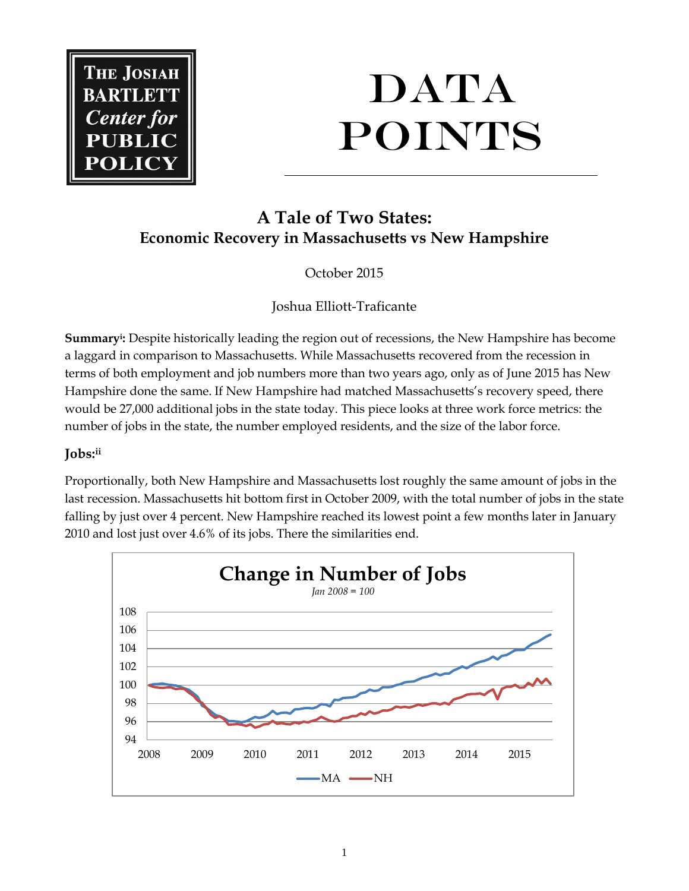

# **DATA POINTS**

# **A Tale of Two States: Economic Recovery in Massachusetts vs New Hampshire**

October 2015

Joshua Elliott-Traficante

**Summary<sup>i</sup> :** Despite historically leading the region out of recessions, the New Hampshire has become a laggard in comparison to Massachusetts. While Massachusetts recovered from the recession in terms of both employment and job numbers more than two years ago, only as of June 2015 has New Hampshire done the same. If New Hampshire had matched Massachusetts's recovery speed, there would be 27,000 additional jobs in the state today. This piece looks at three work force metrics: the number of jobs in the state, the number employed residents, and the size of the labor force.

## **Jobs:ii**

Proportionally, both New Hampshire and Massachusetts lost roughly the same amount of jobs in the last recession. Massachusetts hit bottom first in October 2009, with the total number of jobs in the state falling by just over 4 percent. New Hampshire reached its lowest point a few months later in January 2010 and lost just over 4.6% of its jobs. There the similarities end.

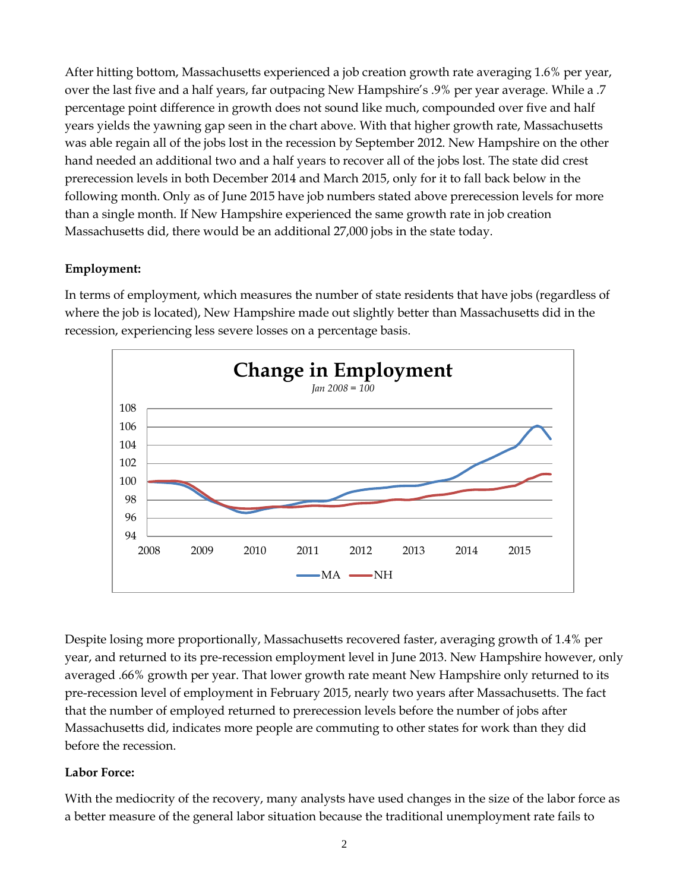After hitting bottom, Massachusetts experienced a job creation growth rate averaging 1.6% per year, over the last five and a half years, far outpacing New Hampshire's .9% per year average. While a .7 percentage point difference in growth does not sound like much, compounded over five and half years yields the yawning gap seen in the chart above. With that higher growth rate, Massachusetts was able regain all of the jobs lost in the recession by September 2012. New Hampshire on the other hand needed an additional two and a half years to recover all of the jobs lost. The state did crest prerecession levels in both December 2014 and March 2015, only for it to fall back below in the following month. Only as of June 2015 have job numbers stated above prerecession levels for more than a single month. If New Hampshire experienced the same growth rate in job creation Massachusetts did, there would be an additional 27,000 jobs in the state today.

### **Employment:**

In terms of employment, which measures the number of state residents that have jobs (regardless of where the job is located), New Hampshire made out slightly better than Massachusetts did in the recession, experiencing less severe losses on a percentage basis.



Despite losing more proportionally, Massachusetts recovered faster, averaging growth of 1.4% per year, and returned to its pre-recession employment level in June 2013. New Hampshire however, only averaged .66% growth per year. That lower growth rate meant New Hampshire only returned to its pre-recession level of employment in February 2015, nearly two years after Massachusetts. The fact that the number of employed returned to prerecession levels before the number of jobs after Massachusetts did, indicates more people are commuting to other states for work than they did before the recession.

#### **Labor Force:**

With the mediocrity of the recovery, many analysts have used changes in the size of the labor force as a better measure of the general labor situation because the traditional unemployment rate fails to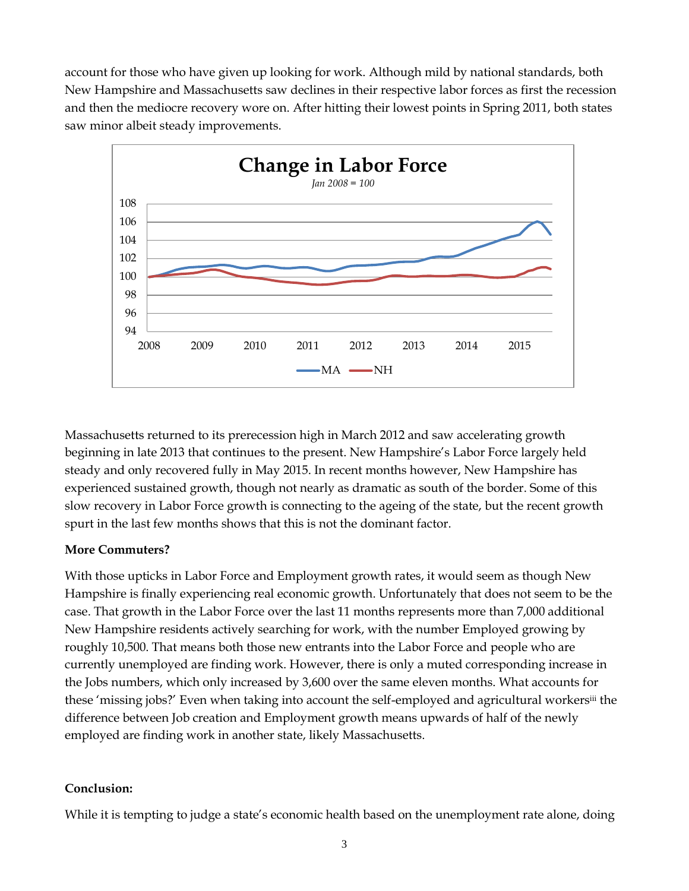account for those who have given up looking for work. Although mild by national standards, both New Hampshire and Massachusetts saw declines in their respective labor forces as first the recession and then the mediocre recovery wore on. After hitting their lowest points in Spring 2011, both states saw minor albeit steady improvements.



Massachusetts returned to its prerecession high in March 2012 and saw accelerating growth beginning in late 2013 that continues to the present. New Hampshire's Labor Force largely held steady and only recovered fully in May 2015. In recent months however, New Hampshire has experienced sustained growth, though not nearly as dramatic as south of the border. Some of this slow recovery in Labor Force growth is connecting to the ageing of the state, but the recent growth spurt in the last few months shows that this is not the dominant factor.

#### **More Commuters?**

With those upticks in Labor Force and Employment growth rates, it would seem as though New Hampshire is finally experiencing real economic growth. Unfortunately that does not seem to be the case. That growth in the Labor Force over the last 11 months represents more than 7,000 additional New Hampshire residents actively searching for work, with the number Employed growing by roughly 10,500. That means both those new entrants into the Labor Force and people who are currently unemployed are finding work. However, there is only a muted corresponding increase in the Jobs numbers, which only increased by 3,600 over the same eleven months. What accounts for these 'missing jobs?' Even when taking into account the self-employed and agricultural workersiii the difference between Job creation and Employment growth means upwards of half of the newly employed are finding work in another state, likely Massachusetts.

#### **Conclusion:**

While it is tempting to judge a state's economic health based on the unemployment rate alone, doing